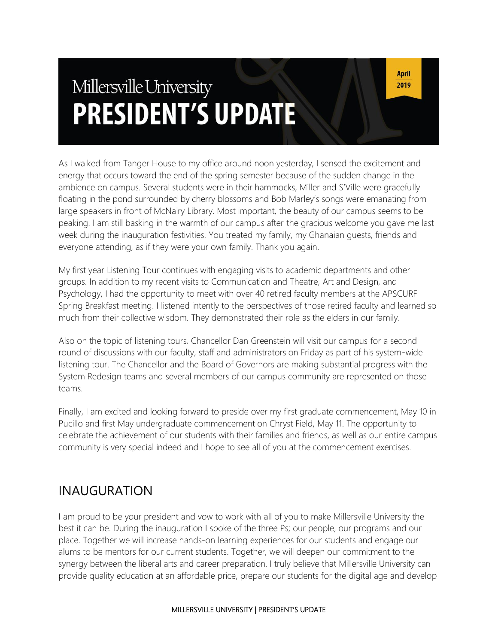# Millersville University **PRESIDENT'S UPDATE**

As I walked from Tanger House to my office around noon yesterday, I sensed the excitement and energy that occurs toward the end of the spring semester because of the sudden change in the ambience on campus. Several students were in their hammocks, Miller and S'Ville were gracefully floating in the pond surrounded by cherry blossoms and Bob Marley's songs were emanating from large speakers in front of McNairy Library. Most important, the beauty of our campus seems to be peaking. I am still basking in the warmth of our campus after the gracious welcome you gave me last week during the inauguration festivities. You treated my family, my Ghanaian guests, friends and everyone attending, as if they were your own family. Thank you again.

My first year Listening Tour continues with engaging visits to academic departments and other groups. In addition to my recent visits to Communication and Theatre, Art and Design, and Psychology, I had the opportunity to meet with over 40 retired faculty members at the APSCURF Spring Breakfast meeting. I listened intently to the perspectives of those retired faculty and learned so much from their collective wisdom. They demonstrated their role as the elders in our family.

Also on the topic of listening tours, Chancellor Dan Greenstein will visit our campus for a second round of discussions with our faculty, staff and administrators on Friday as part of his system-wide listening tour. The Chancellor and the Board of Governors are making substantial progress with the System Redesign teams and several members of our campus community are represented on those teams.

Finally, I am excited and looking forward to preside over my first graduate commencement, May 10 in Pucillo and first May undergraduate commencement on Chryst Field, May 11. The opportunity to celebrate the achievement of our students with their families and friends, as well as our entire campus community is very special indeed and I hope to see all of you at the commencement exercises.

#### INAUGURATION

I am proud to be your president and vow to work with all of you to make Millersville University the best it can be. During the inauguration I spoke of the three Ps; our people, our programs and our place. Together we will increase hands-on learning experiences for our students and engage our alums to be mentors for our current students. Together, we will deepen our commitment to the synergy between the liberal arts and career preparation. I truly believe that Millersville University can provide quality education at an affordable price, prepare our students for the digital age and develop

#### MILLERSVILLE UNIVERSITY | PRESIDENT'S UPDATE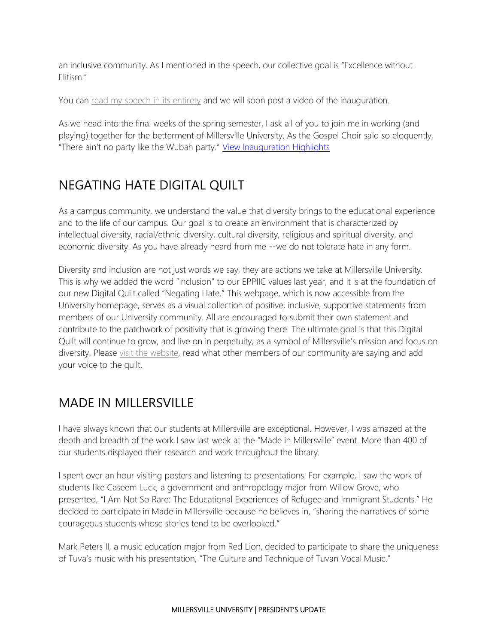an inclusive community. As I mentioned in the speech, our collective goal is "Excellence without Elitism."

You can [read my speech in its entirety](https://www.millersville.edu/president/files/inauguration-speech.pdf) and we will soon post a video of the inauguration.

As we head into the final weeks of the spring semester, I ask all of you to join me in working (and playing) together for the betterment of Millersville University. As the Gospel Choir said so eloquently, "There ain't no party like the Wubah party." [View Inauguration Highlights](https://www.millersville.edu/president/inauguration/index.php)

### NEGATING HATE DIGITAL QUILT

As a campus community, we understand the value that diversity brings to the educational experience and to the life of our campus. Our goal is to create an environment that is characterized by intellectual diversity, racial/ethnic diversity, cultural diversity, religious and spiritual diversity, and economic diversity. As you have already heard from me --we do not tolerate hate in any form.

Diversity and inclusion are not just words we say, they are actions we take at Millersville University. This is why we added the word "inclusion" to our EPPIIC values last year, and it is at the foundation of our new Digital Quilt called "Negating Hate." This webpage, which is now accessible from the University homepage, serves as a visual collection of positive, inclusive, supportive statements from members of our University community. All are encouraged to submit their own statement and contribute to the patchwork of positivity that is growing there. The ultimate goal is that this Digital Quilt will continue to grow, and live on in perpetuity, as a symbol of Millersville's mission and focus on diversity. Please [visit the website,](https://www.millersville.edu/digitalquilt/index.php) read what other members of our community are saying and add your voice to the quilt.

### MADE IN MILLERSVILLE

I have always known that our students at Millersville are exceptional. However, I was amazed at the depth and breadth of the work I saw last week at the "Made in Millersville" event. More than 400 of our students displayed their research and work throughout the library.

I spent over an hour visiting posters and listening to presentations. For example, I saw the work of students like Caseem Luck, a government and anthropology major from Willow Grove, who presented, "I Am Not So Rare: The Educational Experiences of Refugee and Immigrant Students." He decided to participate in Made in Millersville because he believes in, "sharing the narratives of some courageous students whose stories tend to be overlooked."

Mark Peters II, a music education major from Red Lion, decided to participate to share the uniqueness of Tuva's music with his presentation, "The Culture and Technique of Tuvan Vocal Music."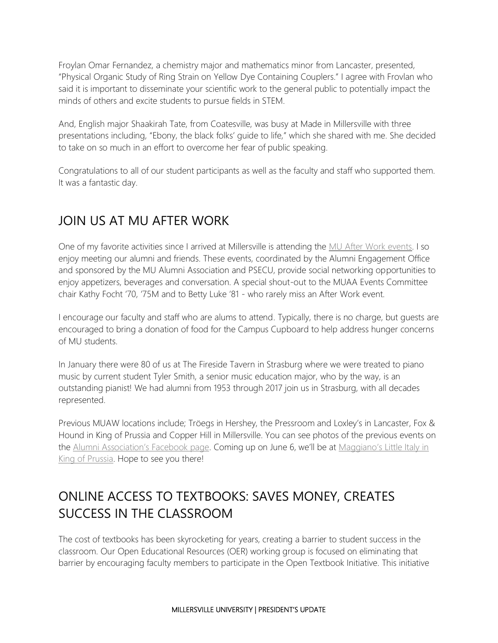Froylan Omar Fernandez, a chemistry major and mathematics minor from Lancaster, presented, "Physical Organic Study of Ring Strain on Yellow Dye Containing Couplers." I agree with Frovlan who said it is important to disseminate your scientific work to the general public to potentially impact the minds of others and excite students to pursue fields in STEM.

And, English major Shaakirah Tate, from Coatesville, was busy at Made in Millersville with three presentations including, "Ebony, the black folks' guide to life," which she shared with me. She decided to take on so much in an effort to overcome her fear of public speaking.

Congratulations to all of our student participants as well as the faculty and staff who supported them. It was a fantastic day.

#### JOIN US AT MU AFTER WORK

One of my favorite activities since I arrived at Millersville is attending the [MU After Work events.](https://www.millersville.edu/alumni/events-reunions/mu-after-work-events.php) I so enjoy meeting our alumni and friends. These events, coordinated by the Alumni Engagement Office and sponsored by the MU Alumni Association and PSECU, provide social networking opportunities to enjoy appetizers, beverages and conversation. A special shout-out to the MUAA Events Committee chair Kathy Focht '70, '75M and to Betty Luke '81 - who rarely miss an After Work event.

I encourage our faculty and staff who are alums to attend. Typically, there is no charge, but guests are encouraged to bring a donation of food for the Campus Cupboard to help address hunger concerns of MU students.

In January there were 80 of us at The Fireside Tavern in Strasburg where we were treated to piano music by current student Tyler Smith, a senior music education major, who by the way, is an outstanding pianist! We had alumni from 1953 through 2017 join us in Strasburg, with all decades represented.

Previous MUAW locations include; Tröegs in Hershey, the Pressroom and Loxley's in Lancaster, Fox & Hound in King of Prussia and Copper Hill in Millersville. You can see photos of the previous events on the Alumni As[sociation's Facebook page.](https://www.facebook.com/pg/MillersvilleAlumni/photos/?tab=albums) Coming up on June 6, we'll be at Maggiano's Little Italy in [King of Prussia.](https://events.r20.constantcontact.com/register/eventReg?oeidk=a07eg9jt9b331b7fce7&oseq=&c=&ch=) Hope to see you there!

## ONLINE ACCESS TO TEXTBOOKS: SAVES MONEY, CREATES SUCCESS IN THE CLASSROOM

The cost of textbooks has been skyrocketing for years, creating a barrier to student success in the classroom. Our Open Educational Resources (OER) working group is focused on eliminating that barrier by encouraging faculty members to participate in the Open Textbook Initiative. This initiative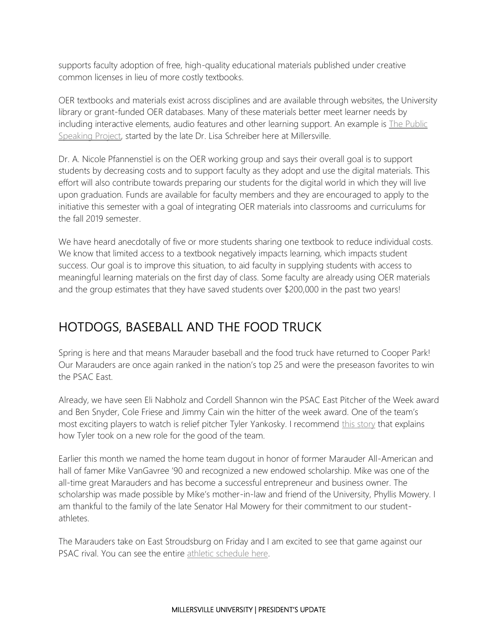supports faculty adoption of free, high-quality educational materials published under creative common licenses in lieu of more costly textbooks.

OER textbooks and materials exist across disciplines and are available through websites, the University library or grant-funded OER databases. Many of these materials better meet learner needs by including interactive elements, audio features and other learning support. An example is [The Public](http://publicspeakingproject.org/)  [Speaking Project,](http://publicspeakingproject.org/) started by the late Dr. Lisa Schreiber here at Millersville.

Dr. A. Nicole Pfannenstiel is on the OER working group and says their overall goal is to support students by decreasing costs and to support faculty as they adopt and use the digital materials. This effort will also contribute towards preparing our students for the digital world in which they will live upon graduation. Funds are available for faculty members and they are encouraged to apply to the initiative this semester with a goal of integrating OER materials into classrooms and curriculums for the fall 2019 semester.

We have heard anecdotally of five or more students sharing one textbook to reduce individual costs. We know that limited access to a textbook negatively impacts learning, which impacts student success. Our goal is to improve this situation, to aid faculty in supplying students with access to meaningful learning materials on the first day of class. Some faculty are already using OER materials and the group estimates that they have saved students over \$200,000 in the past two years!

### HOTDOGS, BASEBALL AND THE FOOD TRUCK

Spring is here and that means Marauder baseball and the food truck have returned to Cooper Park! Our Marauders are once again ranked in the nation's top 25 and were the preseason favorites to win the PSAC East.

Already, we have seen Eli Nabholz and Cordell Shannon win the PSAC East Pitcher of the Week award and Ben Snyder, Cole Friese and Jimmy Cain win the hitter of the week award. One of the team's most exciting players to watch is relief pitcher Tyler Yankosky. I recommend [this story](https://millersvilleathletics.com/news/2019/4/5/baseball-yankosky-embracing-new-role-for-a-breakout-season.aspx) that explains how Tyler took on a new role for the good of the team.

Earlier this month we named the home team dugout in honor of former Marauder All-American and hall of famer Mike VanGavree '90 and recognized a new endowed scholarship. Mike was one of the all-time great Marauders and has become a successful entrepreneur and business owner. The scholarship was made possible by Mike's mother-in-law and friend of the University, Phyllis Mowery. I am thankful to the family of the late Senator Hal Mowery for their commitment to our studentathletes.

The Marauders take on East Stroudsburg on Friday and I am excited to see that game against our PSAC rival. You can see the entire [athletic schedule here.](https://millersvilleathletics.com/calendar.aspx)